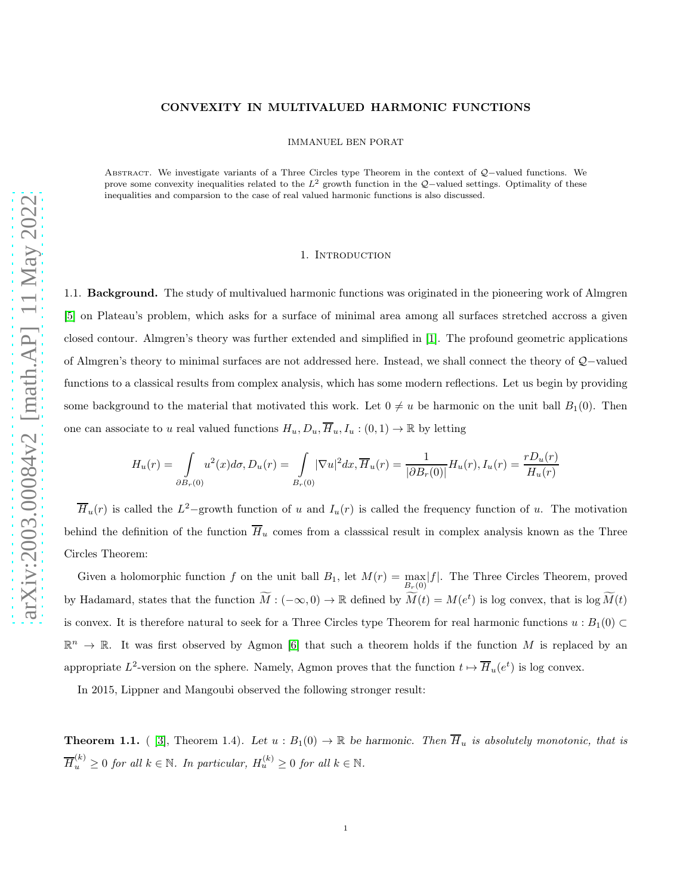## CONVEXITY IN MULTIVALUED HARMONIC FUNCTIONS

IMMANUEL BEN PORAT

Abstract. We investigate variants of a Three Circles type Theorem in the context of Q−valued functions. We prove some convexity inequalities related to the  $L^2$  growth function in the Q-valued settings. Optimality of these inequalities and comparsion to the case of real valued harmonic functions is also discussed.

#### 1. INTRODUCTION

1.1. **Background.** The study of multivalued harmonic functions was originated in the pioneering work of Almgren [\[5\]](#page-14-0) on Plateau's problem, which asks for a surface of minimal area among all surfaces stretched accross a given closed contour. Almgren's theory was further extended and simplified in [\[1\]](#page-14-1). The profound geometric applications of Almgren's theory to minimal surfaces are not addressed here. Instead, we shall connect the theory of Q−valued functions to a classical results from complex analysis, which has some modern reflections. Let us begin by providing some background to the material that motivated this work. Let  $0 \neq u$  be harmonic on the unit ball  $B_1(0)$ . Then one can associate to u real valued functions  $H_u, D_u, \overline{H}_u, I_u : (0,1) \to \mathbb{R}$  by letting

$$
H_u(r) = \int_{\partial B_r(0)} u^2(x) d\sigma, D_u(r) = \int_{B_r(0)} |\nabla u|^2 dx, \overline{H}_u(r) = \frac{1}{|\partial B_r(0)|} H_u(r), I_u(r) = \frac{r D_u(r)}{H_u(r)}
$$

 $\overline{H}_u(r)$  is called the  $L^2$ -growth function of u and  $I_u(r)$  is called the frequency function of u. The motivation behind the definition of the function  $\overline{H}_u$  comes from a classsical result in complex analysis known as the Three Circles Theorem:

Given a holomorphic function f on the unit ball  $B_1$ , let  $M(r) = \max_{B_r(0)} |f|$ . The Three Circles Theorem, proved by Hadamard, states that the function  $\tilde{M}: (-\infty, 0) \to \mathbb{R}$  defined by  $\tilde{M}(t) = M(e^t)$  is log convex, that is log  $\tilde{M}(t)$ is convex. It is therefore natural to seek for a Three Circles type Theorem for real harmonic functions  $u : B_1(0) \subset$  $\mathbb{R}^n \to \mathbb{R}$ . It was first observed by Agmon [\[6\]](#page-14-2) that such a theorem holds if the function M is replaced by an appropriate  $L^2$ -version on the sphere. Namely, Agmon proves that the function  $t \mapsto \overline{H}_u(e^t)$  is log convex.

In 2015, Lippner and Mangoubi observed the following stronger result:

<span id="page-0-0"></span>**Theorem 1.1.** ( [\[3\]](#page-14-3), Theorem 1.4). Let  $u : B_1(0) \to \mathbb{R}$  be harmonic. Then  $\overline{H}_u$  is absolutely monotonic, that is  $\overline{H}_u^{(k)} \geq 0$  for all  $k \in \mathbb{N}$ . In particular,  $H_u^{(k)} \geq 0$  for all  $k \in \mathbb{N}$ .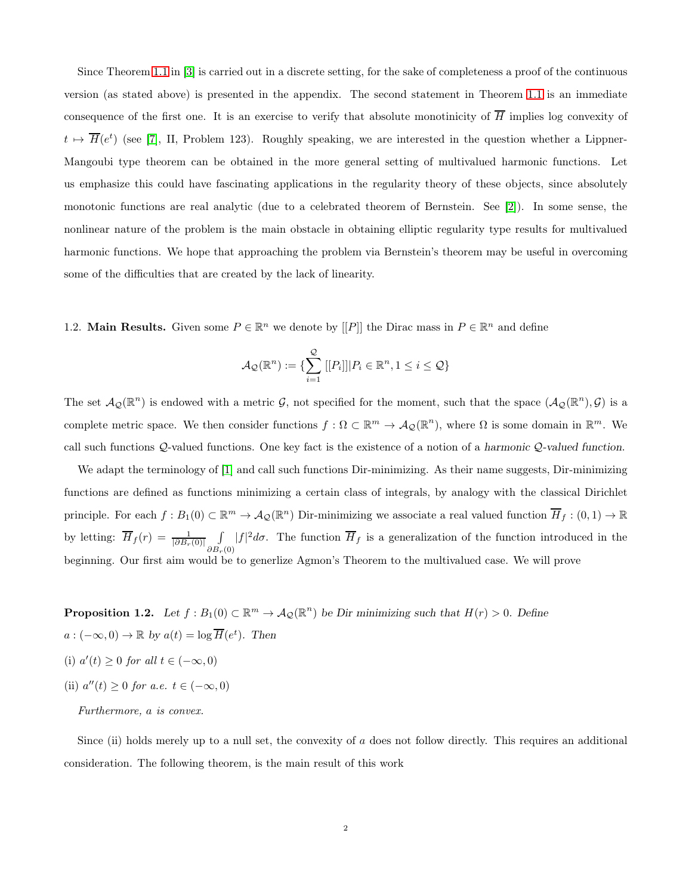Since Theorem [1.1](#page-0-0) in [\[3\]](#page-14-3) is carried out in a discrete setting, for the sake of completeness a proof of the continuous version (as stated above) is presented in the appendix. The second statement in Theorem [1.1](#page-0-0) is an immediate consequence of the first one. It is an exercise to verify that absolute monotinicity of  $\overline{H}$  implies log convexity of  $t \mapsto \overline{H}(e^t)$  (see [\[7\]](#page-15-0), II, Problem 123). Roughly speaking, we are interested in the question whether a Lippner-Mangoubi type theorem can be obtained in the more general setting of multivalued harmonic functions. Let us emphasize this could have fascinating applications in the regularity theory of these objects, since absolutely monotonic functions are real analytic (due to a celebrated theorem of Bernstein. See [\[2\]](#page-14-4)). In some sense, the nonlinear nature of the problem is the main obstacle in obtaining elliptic regularity type results for multivalued harmonic functions. We hope that approaching the problem via Bernstein's theorem may be useful in overcoming some of the difficulties that are created by the lack of linearity.

1.2. **Main Results.** Given some  $P \in \mathbb{R}^n$  we denote by  $[[P]]$  the Dirac mass in  $P \in \mathbb{R}^n$  and define

$$
\mathcal{A}_{\mathcal{Q}}(\mathbb{R}^n) := \{ \sum_{i=1}^{\mathcal{Q}} [[P_i]] | P_i \in \mathbb{R}^n, 1 \le i \le \mathcal{Q} \}
$$

The set  $\mathcal{A}_{\mathcal{Q}}(\mathbb{R}^n)$  is endowed with a metric  $\mathcal{G}$ , not specified for the moment, such that the space  $(\mathcal{A}_{\mathcal{Q}}(\mathbb{R}^n),\mathcal{G})$  is a complete metric space. We then consider functions  $f: \Omega \subset \mathbb{R}^m \to \mathcal{A}_{\mathcal{Q}}(\mathbb{R}^n)$ , where  $\Omega$  is some domain in  $\mathbb{R}^m$ . We call such functions Q-valued functions. One key fact is the existence of a notion of a harmonic Q-valued function.

We adapt the terminology of [\[1\]](#page-14-1) and call such functions Dir-minimizing. As their name suggests, Dir-minimizing functions are defined as functions minimizing a certain class of integrals, by analogy with the classical Dirichlet principle. For each  $f: B_1(0) \subset \mathbb{R}^m \to \mathcal{A}_{\mathcal{Q}}(\mathbb{R}^n)$  Dir-minimizing we associate a real valued function  $\overline{H}_f: (0,1) \to \mathbb{R}$ by letting:  $\overline{H}_f(r) = \frac{1}{|\partial B_r(0)|} \int$  $\int_{\partial B_r(0)} |f|^2 d\sigma$ . The function  $\overline{H}_f$  is a generalization of the function introduced in the beginning. Our first aim would be to generlize Agmon's Theorem to the multivalued case. We will prove

**Proposition 1.2.** Let  $f : B_1(0) \subset \mathbb{R}^m \to \mathcal{A}_{\mathcal{Q}}(\mathbb{R}^n)$  be Dir minimizing such that  $H(r) > 0$ . Define  $a: (-\infty, 0) \to \mathbb{R}$  by  $a(t) = \log \overline{H}(e^t)$ . Then (i)  $a'(t) \ge 0$  for all  $t \in (-\infty, 0)$ 

(ii)  $a''(t) \geq 0$  for a.e.  $t \in (-\infty, 0)$ 

# Furthermore, a is convex.

Since (ii) holds merely up to a null set, the convexity of  $a$  does not follow directly. This requires an additional consideration. The following theorem, is the main result of this work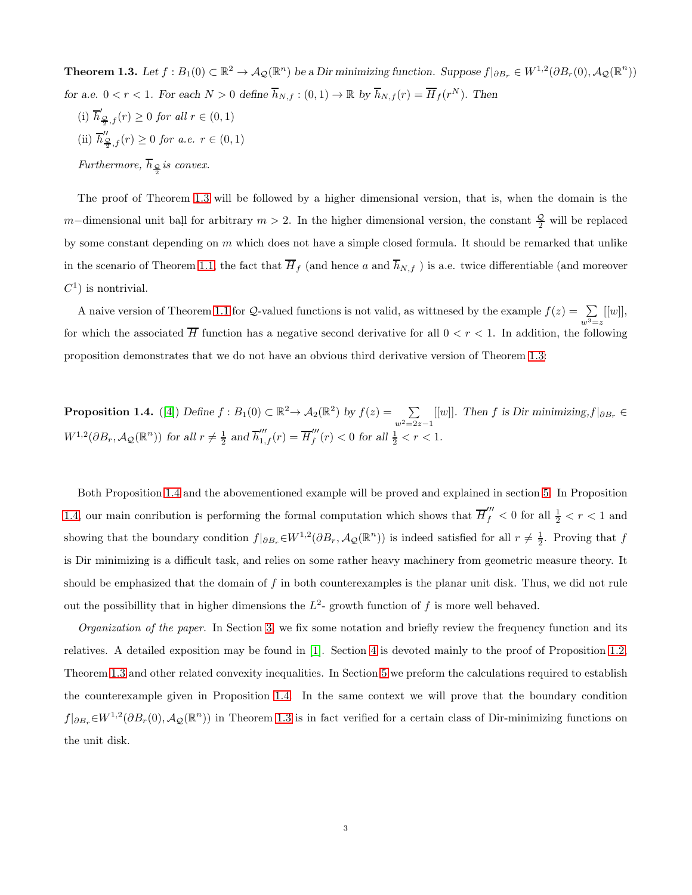<span id="page-2-0"></span>**Theorem 1.3.** Let  $f : B_1(0) \subset \mathbb{R}^2 \to A_{\mathcal{Q}}(\mathbb{R}^n)$  be a Dir minimizing function. Suppose  $f|_{\partial B_r} \in W^{1,2}(\partial B_r(0), \mathcal{A}_{\mathcal{Q}}(\mathbb{R}^n))$ for a.e.  $0 < r < 1$ . For each  $N > 0$  define  $\overline{h}_{N,f} : (0,1) \to \mathbb{R}$  by  $\overline{h}_{N,f}(r) = \overline{H}_f(r^N)$ . Then

(i)  $\overline{h}'_{\frac{\mathcal{Q}}{2},f}(r) \ge 0$  for all  $r \in (0,1)$ (ii)  $\overline{h}_{\frac{\mathcal{Q}}{2},f}''(r) \ge 0$  for a.e.  $r \in (0,1)$ Furthermore,  $h_{\frac{\mathcal{Q}}{2}}$  is convex.

The proof of Theorem [1.3](#page-2-0) will be followed by a higher dimensional version, that is, when the domain is the m–dimensional unit ball for arbitrary  $m > 2$ . In the higher dimensional version, the constant  $\frac{Q}{2}$  will be replaced by some constant depending on  $m$  which does not have a simple closed formula. It should be remarked that unlike in the scenario of Theorem [1.1,](#page-0-0) the fact that  $\overline{H}_f$  (and hence a and  $\overline{h}_{N,f}$ ) is a.e. twice differentiable (and moreover  $C^1$ ) is nontrivial.

A naive version of Theorem [1.1](#page-0-0) for Q-valued functions is not valid, as wittnesed by the example  $f(z) = \sum_{w^3=z}$  $[[w]],$ for which the associated  $\overline{H}$  function has a negative second derivative for all  $0 < r < 1$ . In addition, the following proposition demonstrates that we do not have an obvious third derivative version of Theorem [1.3:](#page-2-0)

<span id="page-2-1"></span>**Proposition 1.4.** ([\[4\]](#page-14-5)) Define  $f : B_1(0) \subset \mathbb{R}^2 \to A_2(\mathbb{R}^2)$  by  $f(z) = \sum_{z \in \mathbb{R}^2}$  $\sum_{w^2=2z-1}[[w]]$ . Then f is Dir minimizing,  $f|_{\partial B_r} \in$  $W^{1,2}(\partial B_r, \mathcal{A}_{\mathcal{Q}}(\mathbb{R}^n))$  for all  $r \neq \frac{1}{2}$  and  $\overline{h}_{1,f}'''(r) = \overline{H}_{f}'''$  $\int_{f}^{m}(r) < 0$  for all  $\frac{1}{2} < r < 1$ .

Both Proposition [1.4](#page-2-1) and the abovementioned example will be proved and explained in section [5.](#page-10-0) In Proposition [1.4,](#page-2-1) our main conribution is performing the formal computation which shows that  $\overline{H}''_f < 0$  for all  $\frac{1}{2} < r < 1$  and showing that the boundary condition  $f|_{\partial B_r} \in W^{1,2}(\partial B_r, \mathcal{A}_{\mathcal{Q}}(\mathbb{R}^n))$  is indeed satisfied for all  $r \neq \frac{1}{2}$ . Proving that f is Dir minimizing is a difficult task, and relies on some rather heavy machinery from geometric measure theory. It should be emphasized that the domain of f in both counterexamples is the planar unit disk. Thus, we did not rule out the possibillity that in higher dimensions the  $L^2$ - growth function of f is more well behaved.

Organization of the paper. In Section [3,](#page-3-0) we fix some notation and briefly review the frequency function and its relatives. A detailed exposition may be found in [\[1\]](#page-14-1). Section [4](#page-4-0) is devoted mainly to the proof of Proposition 1.2, Theorem [1.3](#page-2-0) and other related convexity inequalities. In Section [5](#page-10-0) we preform the calculations required to establish the counterexample given in Proposition [1.4.](#page-2-1) In the same context we will prove that the boundary condition  $f|_{\partial B_r} \in W^{1,2}(\partial B_r(0), \mathcal{A}_{\mathcal{Q}}(\mathbb{R}^n))$  in Theorem [1.3](#page-2-0) is in fact verified for a certain class of Dir-minimizing functions on the unit disk.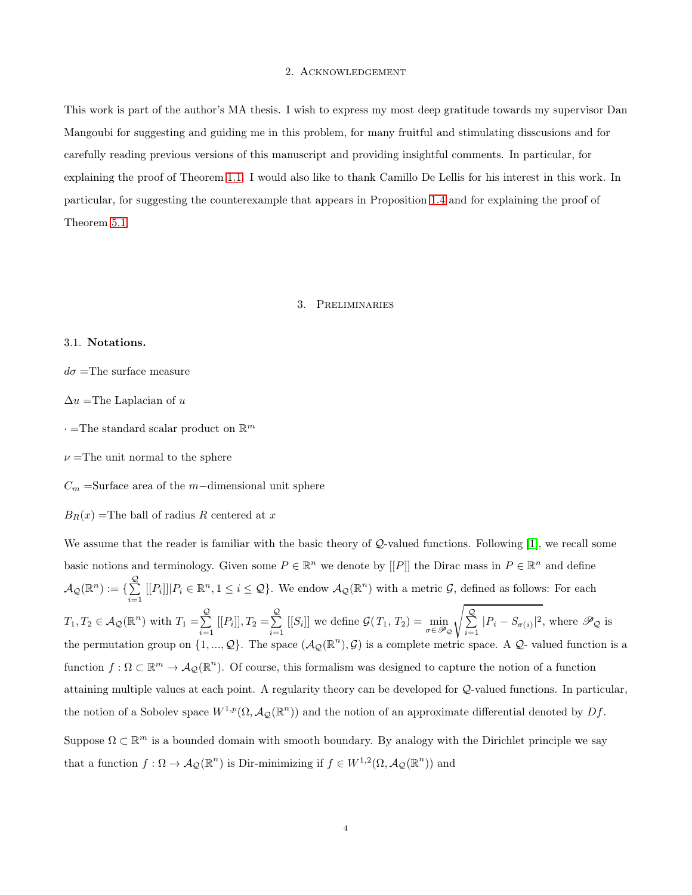#### 2. Acknowledgement

This work is part of the author's MA thesis. I wish to express my most deep gratitude towards my supervisor Dan Mangoubi for suggesting and guiding me in this problem, for many fruitful and stimulating disscusions and for carefully reading previous versions of this manuscript and providing insightful comments. In particular, for explaining the proof of Theorem [1.1.](#page-0-0) I would also like to thank Camillo De Lellis for his interest in this work. In particular, for suggesting the counterexample that appears in Proposition [1.4](#page-2-1) and for explaining the proof of Theorem 5.1.

# 3. Preliminaries

## <span id="page-3-0"></span>3.1. Notations.

 $d\sigma$  =The surface measure

 $\Delta u$  =The Laplacian of u

 $\cdot$  =The standard scalar product on  $\mathbb{R}^m$ 

 $\nu$  =The unit normal to the sphere

 $C_m$  =Surface area of the m−dimensional unit sphere

 $B_R(x)$  =The ball of radius R centered at x

We assume that the reader is familiar with the basic theory of  $Q$ -valued functions. Following [\[1\]](#page-14-1), we recall some basic notions and terminology. Given some  $P \in \mathbb{R}^n$  we denote by  $[[P]]$  the Dirac mass in  $P \in \mathbb{R}^n$  and define  $\mathcal{A}_{\mathcal{Q}}(\mathbb{R}^n) := \{ \sum\limits_{i=1}^{\mathcal{Q}}% \alpha_i^{\mathcal{Q}}(\alpha_i) \in \mathcal{A}^{(n)}(\mathbb{R}^n) \}$  $\sum_{i=1}^{\infty} [[P_i]] | P_i \in \mathbb{R}^n, 1 \leq i \leq \mathcal{Q}$ . We endow  $\mathcal{A}_{\mathcal{Q}}(\mathbb{R}^n)$  with a metric  $\mathcal{G}$ , defined as follows: For each  $T_1, T_2 \in \mathcal{A}_{\mathcal{Q}}(\mathbb{R}^n)$  with  $T_1 = \sum_{n=1}^{\mathcal{Q}}$  $\sum_{i=1}^{Q} [[P_i]], T_2 = \sum_{i=1}^{Q}$  $\sum_{i=1}^{\infty} [[S_i]]$  we define  $\mathcal{G}(T_1, T_2) = \min_{\sigma \in \mathscr{P}_{\mathcal{Q}}}$ s  $\frac{Q}{\sum}$  $\sum_{i=1}^{\infty}$  | $P_i - S_{\sigma(i)}$ |<sup>2</sup>, where  $\mathscr{P}_{\mathcal{Q}}$  is the permutation group on  $\{1, ..., Q\}$ . The space  $(\mathcal{A}_{\mathcal{Q}}(\mathbb{R}^n), \mathcal{G})$  is a complete metric space. A  $\mathcal{Q}$ -valued function is a n function  $f: \Omega \subset \mathbb{R}^m \to \mathcal{A}_{\mathcal{Q}}(\mathbb{R}^n)$ . Of course, this formalism was designed to capture the notion of a function attaining multiple values at each point. A regularity theory can be developed for Q-valued functions. In particular, the notion of a Sobolev space  $W^{1,p}(\Omega, \mathcal{A}_{\mathcal{Q}}(\mathbb{R}^n))$  and the notion of an approximate differential denoted by  $Df$ . Suppose  $\Omega \subset \mathbb{R}^m$  is a bounded domain with smooth boundary. By analogy with the Dirichlet principle we say that a function  $f: \Omega \to \mathcal{A}_{\mathcal{Q}}(\mathbb{R}^n)$  is Dir-minimizing if  $f \in W^{1,2}(\Omega, \mathcal{A}_{\mathcal{Q}}(\mathbb{R}^n))$  and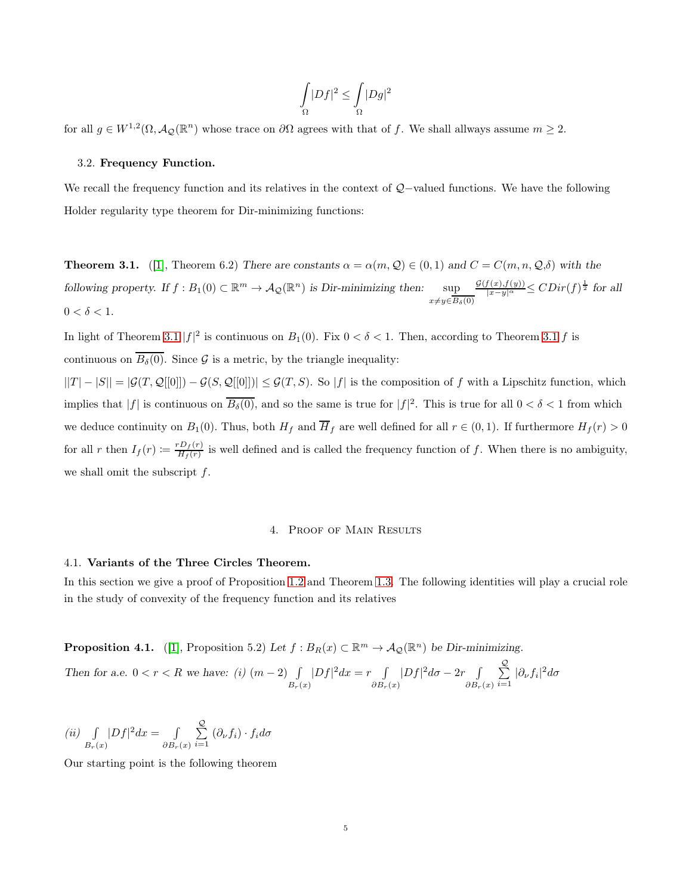$$
\int\limits_{\Omega}|Df|^2\leq \int\limits_{\Omega}|Dg|^2
$$

for all  $g \in W^{1,2}(\Omega, \mathcal{A}_{\mathcal{Q}}(\mathbb{R}^n))$  whose trace on  $\partial\Omega$  agrees with that of f. We shall allways assume  $m \geq 2$ .

#### 3.2. Frequency Function.

We recall the frequency function and its relatives in the context of Q−valued functions. We have the following Holder regularity type theorem for Dir-minimizing functions:

**Theorem 3.1.** ([\[1\]](#page-14-1), Theorem 6.2) There are constants  $\alpha = \alpha(m, Q) \in (0, 1)$  and  $C = C(m, n, Q, \delta)$  with the following property. If  $f : B_1(0) \subset \mathbb{R}^m \to \mathcal{A}_{\mathcal{Q}}(\mathbb{R}^n)$  is Dir-minimizing then:  $\sup$  $x\neq y\in B_\delta(0)$  $\frac{\mathcal{G}(f(x),f(y))}{|x-y|^{\alpha}} \leq CDir(f)^{\frac{1}{2}}$  for all  $0 < \delta < 1$ .

In light of Theorem 3.1  $|f|^2$  is continuous on  $B_1(0)$ . Fix  $0 < \delta < 1$ . Then, according to Theorem 3.1 f is continuous on  $\overline{B_\delta(0)}$ . Since G is a metric, by the triangle inequality:

 $||T| - |S|| = |\mathcal{G}(T, \mathcal{Q}[[0]]) - \mathcal{G}(S, \mathcal{Q}[[0]])| \leq \mathcal{G}(T, S)$ . So |f| is the composition of f with a Lipschitz function, which implies that  $|f|$  is continuous on  $\overline{B_\delta(0)}$ , and so the same is true for  $|f|^2$ . This is true for all  $0 < \delta < 1$  from which we deduce continuity on  $B_1(0)$ . Thus, both  $H_f$  and  $\overline{H}_f$  are well defined for all  $r \in (0,1)$ . If furthermore  $H_f(r) > 0$ for all r then  $I_f(r) \coloneqq \frac{r D_f(r)}{H_f(r)}$  $\frac{D_f(r)}{H_f(r)}$  is well defined and is called the frequency function of f. When there is no ambiguity, we shall omit the subscript  $f$ .

### 4. Proof of Main Results

### <span id="page-4-0"></span>4.1. Variants of the Three Circles Theorem.

In this section we give a proof of Proposition 1.2 and Theorem [1.3.](#page-2-0) The following identities will play a crucial role in the study of convexity of the frequency function and its relatives

**Proposition 4.1.** ([\[1\]](#page-14-1), Proposition 5.2) Let  $f : B_R(x) \subset \mathbb{R}^m \to A_{\mathcal{Q}}(\mathbb{R}^n)$  be Dir-minimizing.

Then for a.e. 
$$
0 < r < R
$$
 we have: (i)  $(m-2) \int\limits_{B_r(x)} |Df|^2 dx = r \int\limits_{\partial B_r(x)} |Df|^2 d\sigma - 2r \int\limits_{\partial B_r(x)} \sum_{i=1}^{\mathcal{Q}} |\partial_{\nu} f_i|^2 d\sigma$ 

$$
(ii) \int_{B_r(x)} |Df|^2 dx = \int_{\partial B_r(x)} \sum_{i=1}^{\mathcal{Q}} (\partial_{\nu} f_i) \cdot f_i d\sigma
$$

Our starting point is the following theorem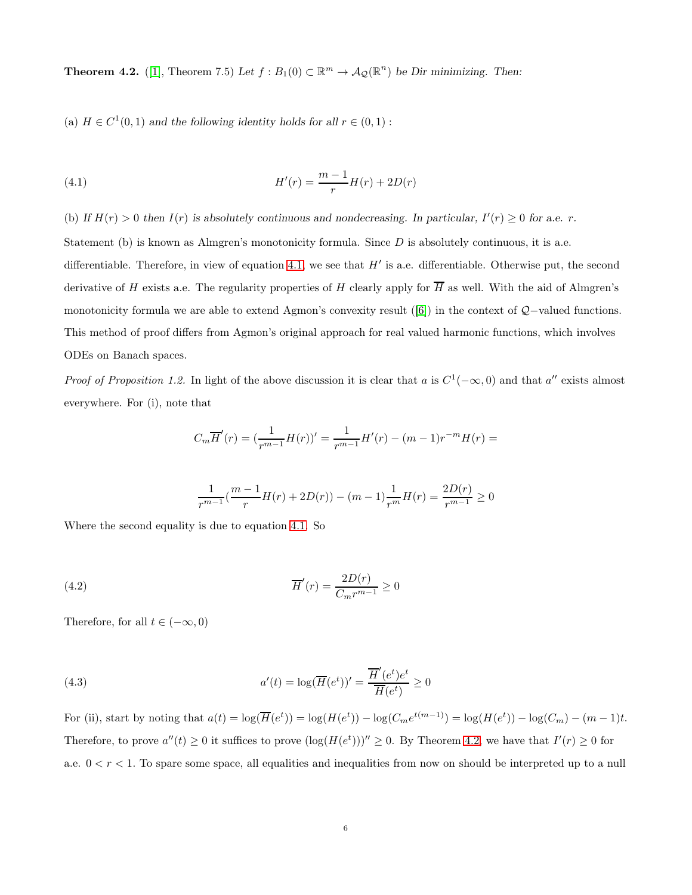**Theorem 4.2.** ([\[1\]](#page-14-1), Theorem 7.5) Let  $f : B_1(0) \subset \mathbb{R}^m \to \mathcal{A}_{\mathcal{Q}}(\mathbb{R}^n)$  be Dir minimizing. Then:

(a)  $H \in C^1(0,1)$  and the following identity holds for all  $r \in (0,1)$ :

<span id="page-5-0"></span>(4.1) 
$$
H'(r) = \frac{m-1}{r}H(r) + 2D(r)
$$

(b) If  $H(r) > 0$  then  $I(r)$  is absolutely continuous and nondecreasing. In particular,  $I'(r) \geq 0$  for a.e. r.

Statement (b) is known as Almgren's monotonicity formula. Since  $D$  is absolutely continuous, it is a.e.

differentiable. Therefore, in view of equation [4.1,](#page-5-0) we see that  $H'$  is a.e. differentiable. Otherwise put, the second derivative of H exists a.e. The regularity properties of H clearly apply for  $\overline{H}$  as well. With the aid of Almgren's monotonicity formula we are able to extend Agmon's convexity result ([\[6\]](#page-14-2)) in the context of Q−valued functions. This method of proof differs from Agmon's original approach for real valued harmonic functions, which involves ODEs on Banach spaces.

*Proof of Proposition 1.2.* In light of the above discussion it is clear that a is  $C^1(-\infty,0)$  and that a'' exists almost everywhere. For (i), note that

$$
C_m \overline{H}'(r) = \left(\frac{1}{r^{m-1}} H(r)\right)' = \frac{1}{r^{m-1}} H'(r) - (m-1)r^{-m}H(r) =
$$

<span id="page-5-2"></span><span id="page-5-1"></span>
$$
\frac{1}{r^{m-1}}(\frac{m-1}{r}H(r) + 2D(r)) - (m-1)\frac{1}{r^m}H(r) = \frac{2D(r)}{r^{m-1}} \ge 0
$$

Where the second equality is due to equation [4.1.](#page-5-0) So

(4.2) 
$$
\overline{H}'(r) = \frac{2D(r)}{C_m r^{m-1}} \ge 0
$$

Therefore, for all  $t \in (-\infty, 0)$ 

(4.3) 
$$
a'(t) = \log(\overline{H}(e^t))' = \frac{\overline{H}'(e^t)e^t}{\overline{H}(e^t)} \ge 0
$$

For (ii), start by noting that  $a(t) = \log(\overline{H}(e^t)) = \log(H(e^t)) - \log(C_m e^{t(m-1)}) = \log(H(e^t)) - \log(C_m) - (m-1)t$ . Therefore, to prove  $a''(t) \ge 0$  it suffices to prove  $(\log(H(e^t)))'' \ge 0$ . By Theorem 4.2, we have that  $I'(r) \ge 0$  for a.e.  $0 < r < 1$ . To spare some space, all equalities and inequalities from now on should be interpreted up to a null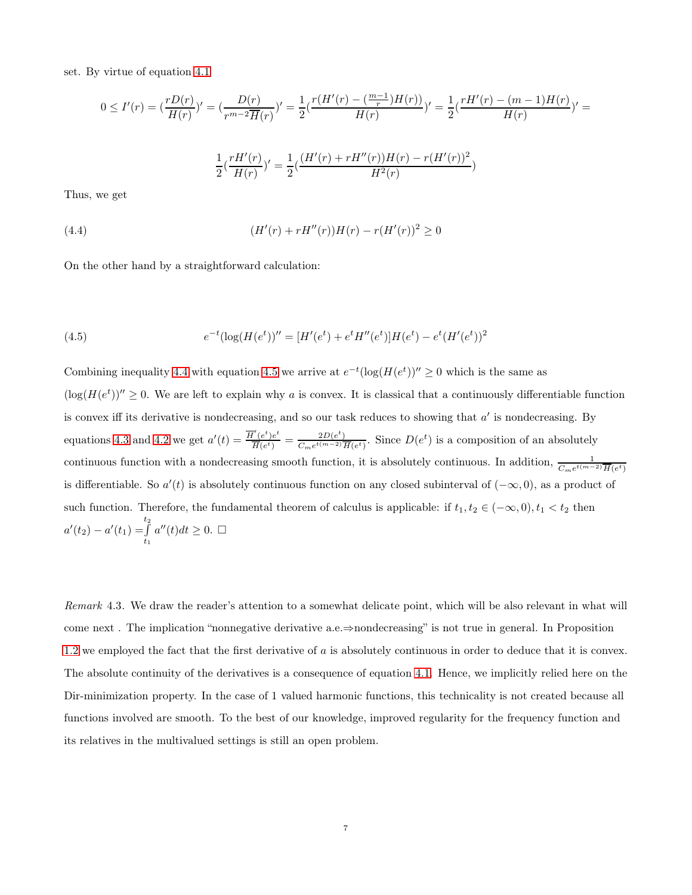set. By virtue of equation [4.1](#page-5-0)

$$
0 \le I'(r) = \left(\frac{rD(r)}{H(r)}\right)' = \left(\frac{D(r)}{r^{m-2}\overline{H}(r)}\right)' = \frac{1}{2}\left(\frac{r(H'(r) - \left(\frac{m-1}{r}\right)H(r))}{H(r)}\right)' = \frac{1}{2}\left(\frac{rH'(r) - (m-1)H(r)}{H(r)}\right)' = \frac{1}{2}\left(\frac{rH'(r)}{H(r)}\right)' = \frac{1}{2}\left(\frac{rH'(r)}{H(r)}\right)' = \frac{1}{2}\left(\frac{(H'(r) + rH''(r))H(r) - r(H'(r))^2}{H^2(r)}\right) = \frac{1}{2}\left(\frac{rH'(r)}{H^2(r)}\right)' = \frac{1}{2}\left(\frac{H'(r) - rH''(r)}{H^2(r)}\right)' = \frac{1}{2}\left(\frac{H'(r) - rH''(r)}{H^2(r)}\right)' = \frac{1}{2}\left(\frac{1}{2}\right)\left(\frac{1}{2}\right)' = \frac{1}{2}\left(\frac{1}{2}\right)\left(\frac{1}{2}\right)' = \frac{1}{2}\left(\frac{1}{2}\right)\left(\frac{1}{2}\right)' = \frac{1}{2}\left(\frac{1}{2}\right)' = \frac{1}{2}\left(\frac{1}{2}\right)' = \frac{1}{2}\left(\frac{1}{2}\right)' = \frac{1}{2}\left(\frac{1}{2}\right)' = \frac{1}{2}\left(\frac{1}{2}\right)' = \frac{1}{2}\left(\frac{1}{2}\right)' = \frac{1}{2}\left(\frac{1}{2}\right)' = \frac{1}{2}\left(\frac{1}{2}\right)' = \frac{1}{2}\left(\frac{1}{2}\right)' = \frac{1}{2}\left(\frac{1}{2}\right)' = \frac{1}{2}\left(\frac{1}{2}\right)' = \frac{1}{2}\left(\frac{1}{2}\right)' = \frac{1}{2}\left(\frac{1}{2}\right)' = \frac{1}{2}\left(\frac{1}{2}\right)' = \frac{1}{2}\left(\frac{1}{2}\right)' = \frac{1}{2}\left(\frac{1}{2}\right)' = \frac{1}{2}\left(\frac{1}{2}\right)' = \frac{1}{2}\left(\frac{1}{2}\right)' = \frac{1}{2}\left(\frac{1}{2}\right)' = \frac{1}{2}\left(\frac{1}{2}\right)' = \frac{1}{2}\left(\frac
$$

Thus, we get

<span id="page-6-0"></span>(4.4) 
$$
(H'(r) + rH''(r))H(r) - r(H'(r))^2 \ge 0
$$

On the other hand by a straightforward calculation:

<span id="page-6-1"></span>(4.5) 
$$
e^{-t}(\log(H(e^t))'' = [H'(e^t) + e^t H''(e^t)]H(e^t) - e^t(H'(e^t))^2
$$

Combining inequality [4.4](#page-6-0) with equation [4.5](#page-6-1) we arrive at  $e^{-t}(\log(H(e^t)))'' \ge 0$  which is the same as  $(\log(H(e^t))^{\prime\prime} \geq 0$ . We are left to explain why a is convex. It is classical that a continuously differentiable function is convex iff its derivative is nondecreasing, and so our task reduces to showing that  $a'$  is nondecreasing. By equations [4.3](#page-5-1) and [4.2](#page-5-2) we get  $a'(t) = \frac{\overline{H}'(e^t)e^t}{\overline{H}'(e^t)}$  $\frac{\overline{H}'(e^t)e^t}{\overline{H}(e^t)} = \frac{2D(e^t)}{C_m e^{t(m-2)}}$  $\frac{2D(e^t)}{C_m e^{t(m-2)} \overline{H}(e^t)}$ . Since  $D(e^t)$  is a composition of an absolutely continuous function with a nondecreasing smooth function, it is absolutely continuous. In addition,  $\frac{1}{C_m e^{t(m-2)} \overline{H}(e^t)}$ is differentiable. So  $a'(t)$  is absolutely continuous function on any closed subinterval of  $(-\infty, 0)$ , as a product of such function. Therefore, the fundamental theorem of calculus is applicable: if  $t_1, t_2 \in (-\infty, 0), t_1 < t_2$  then  $a'(t_2) - a'(t_1) = \int\limits_0^{t_2}$  $t_1$  $a''(t)dt \geq 0.$ 

Remark 4.3. We draw the reader's attention to a somewhat delicate point, which will be also relevant in what will come next . The implication "nonnegative derivative a.e.⇒nondecreasing" is not true in general. In Proposition 1.2 we employed the fact that the first derivative of  $a$  is absolutely continuous in order to deduce that it is convex. The absolute continuity of the derivatives is a consequence of equation [4.1.](#page-5-0) Hence, we implicitly relied here on the Dir-minimization property. In the case of 1 valued harmonic functions, this technicality is not created because all functions involved are smooth. To the best of our knowledge, improved regularity for the frequency function and its relatives in the multivalued settings is still an open problem.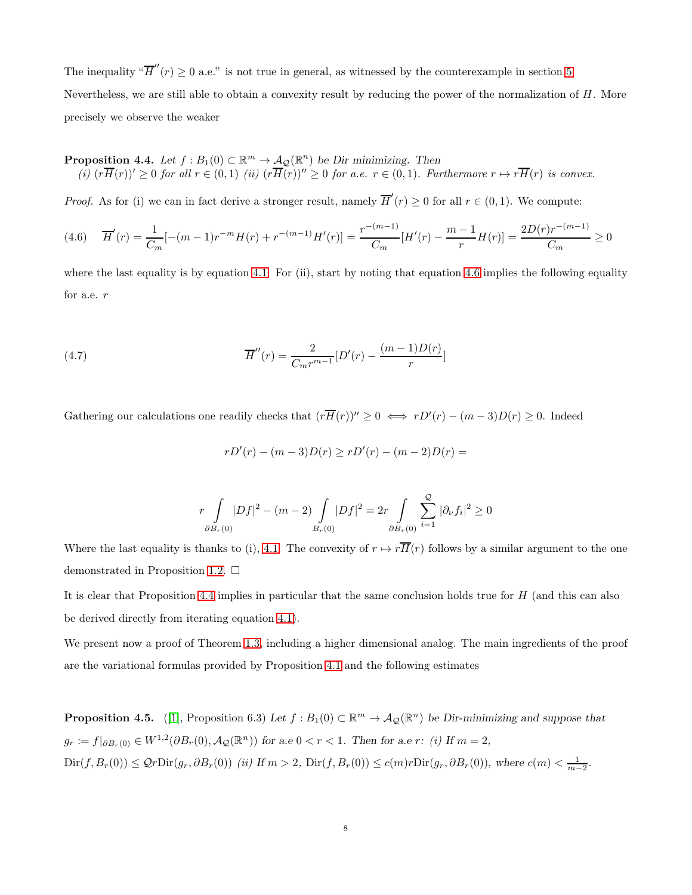The inequality " $\overline{H}''(r) \ge 0$  a.e." is not true in general, as witnessed by the counterexample in section [5.](#page-10-0) Nevertheless, we are still able to obtain a convexity result by reducing the power of the normalization of  $H$ . More precisely we observe the weaker

<span id="page-7-1"></span>**Proposition 4.4.** Let  $f : B_1(0) \subset \mathbb{R}^m \to \mathcal{A}_{\mathcal{Q}}(\mathbb{R}^n)$  be Dir minimizing. Then (i)  $(r\overline{H}(r))' \geq 0$  for all  $r \in (0,1)$  (ii)  $(r\overline{H}(r))'' \geq 0$  for a.e.  $r \in (0,1)$ . Furthermore  $r \mapsto r\overline{H}(r)$  is convex.

*Proof.* As for (i) we can in fact derive a stronger result, namely  $\overline{H}'(r) \ge 0$  for all  $r \in (0,1)$ . We compute:

<span id="page-7-0"></span>
$$
(4.6) \quad \overline{H}'(r) = \frac{1}{C_m} [-(m-1)r^{-m}H(r) + r^{-(m-1)}H'(r)] = \frac{r^{-(m-1)}}{C_m} [H'(r) - \frac{m-1}{r}H(r)] = \frac{2D(r)r^{-(m-1)}}{C_m} \ge 0
$$

where the last equality is by equation [4.1.](#page-5-0) For (ii), start by noting that equation [4.6](#page-7-0) implies the following equality for a.e. r

(4.7) 
$$
\overline{H}''(r) = \frac{2}{C_m r^{m-1}} [D'(r) - \frac{(m-1)D(r)}{r}]
$$

Gathering our calculations one readily checks that  $(r\overline{H}(r))'' \geq 0 \iff rD'(r) - (m-3)D(r) \geq 0$ . Indeed

$$
rD'(r) - (m-3)D(r) \ge rD'(r) - (m-2)D(r) =
$$

$$
r \int\limits_{\partial B_r(0)} |Df|^2 - (m-2) \int\limits_{B_r(0)} |Df|^2 = 2r \int\limits_{\partial B_r(0)} \sum_{i=1}^{Q} |\partial_{\nu} f_i|^2 \ge 0
$$

Where the last equality is thanks to (i), 4.1. The convexity of  $r \mapsto r\overline{H}(r)$  follows by a similar argument to the one demonstrated in Proposition 1.2.  $\Box$ 

It is clear that Proposition [4.4](#page-7-1) implies in particular that the same conclusion holds true for H (and this can also be derived directly from iterating equation [4.1\)](#page-5-0).

We present now a proof of Theorem [1.3,](#page-2-0) including a higher dimensional analog. The main ingredients of the proof are the variational formulas provided by Proposition 4.1 and the following estimates

**Proposition 4.5.** ([\[1\]](#page-14-1), Proposition 6.3) Let  $f : B_1(0) \subset \mathbb{R}^m \to \mathcal{A}_{\mathcal{Q}}(\mathbb{R}^n)$  be Dir-minimizing and suppose that  $g_r := f|_{\partial B_r(0)} \in W^{1,2}(\partial B_r(0), A_{\mathcal{Q}}(\mathbb{R}^n))$  for a.e  $0 < r < 1$ . Then for a.e r: (i) If  $m = 2$ ,  $\text{Dir}(f, B_r(0)) \leq \mathcal{Q}r\text{Dir}(g_r, \partial B_r(0))$  (ii) If  $m > 2$ ,  $\text{Dir}(f, B_r(0)) \leq c(m)r\text{Dir}(g_r, \partial B_r(0))$ , where  $c(m) < \frac{1}{m-2}$ .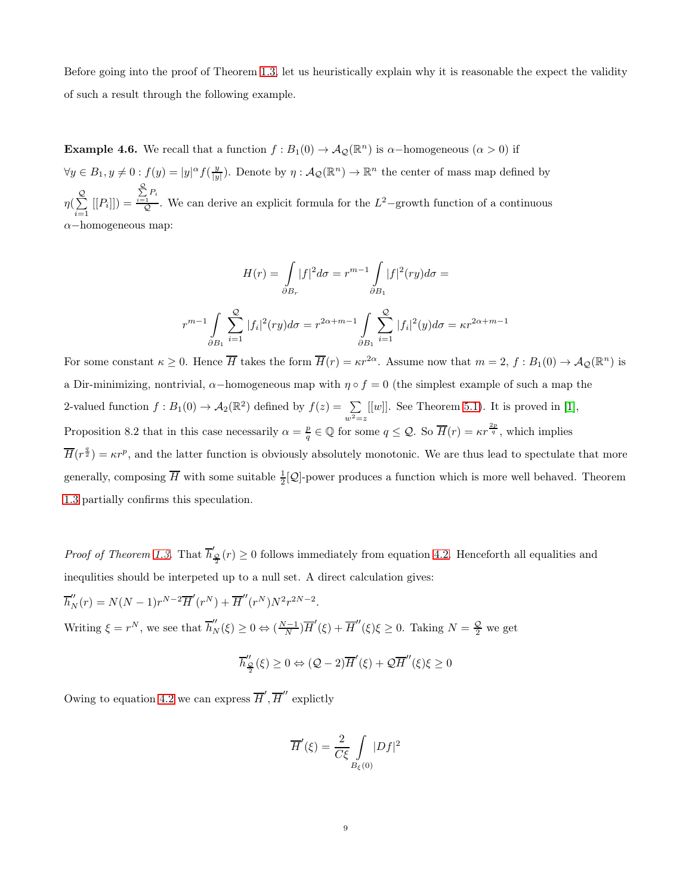Before going into the proof of Theorem [1.3,](#page-2-0) let us heuristically explain why it is reasonable the expect the validity of such a result through the following example.

**Example 4.6.** We recall that a function  $f : B_1(0) \to A_2(\mathbb{R}^n)$  is  $\alpha$ -homogeneous  $(\alpha > 0)$  if  $\forall y \in B_1, y \neq 0 : f(y) = |y|^{\alpha} f(\frac{y}{|y|}).$  Denote by  $\eta : A_{\mathcal{Q}}(\mathbb{R}^n) \to \mathbb{R}^n$  the center of mass map defined by  $\eta(\sum\limits_{i=1}^{\mathcal{Q}}% {\color{blue} 1_X} \frac{\partial}{\partial x_i^{(i)}}% {\color{blue} 1_{\mathcal{Q}}^{(i)}}^{(i)}(\theta))$  $\sum_{i=1}$  [[P<sub>i</sub>]]) =  $\sum_{i=1}^{\mathcal{Q}} P_i$  $\frac{\overline{c}_1}{\mathcal{Q}}$ . We can derive an explicit formula for the  $L^2$ -growth function of a continuous  $\alpha$ −homogeneous map:

$$
H(r) = \int_{\partial B_r} |f|^2 d\sigma = r^{m-1} \int_{\partial B_1} |f|^2 (ry) d\sigma =
$$
  

$$
r^{m-1} \int_{\partial B_1} \sum_{i=1}^{\mathcal{Q}} |f_i|^2 (ry) d\sigma = r^{2\alpha + m - 1} \int_{\partial B_1} \sum_{i=1}^{\mathcal{Q}} |f_i|^2 (y) d\sigma = \kappa r^{2\alpha + m - 1}
$$

For some constant  $\kappa \geq 0$ . Hence  $\overline{H}$  takes the form  $\overline{H}(r) = \kappa r^{2\alpha}$ . Assume now that  $m = 2$ ,  $f : B_1(0) \to A_2(\mathbb{R}^n)$  is a Dir-minimizing, nontrivial,  $\alpha$ -homogeneous map with  $\eta \circ f = 0$  (the simplest example of such a map the 2-valued function  $f : B_1(0) \to A_2(\mathbb{R}^2)$  defined by  $f(z) = \sum_{\alpha}$  $w^2 = z$  $[[w]]$ . See Theorem 5.1). It is proved in [\[1\]](#page-14-1), Proposition 8.2 that in this case necessarily  $\alpha = \frac{p}{q} \in \mathbb{Q}$  for some  $q \leq \mathcal{Q}$ . So  $\overline{H}(r) = \kappa r^{\frac{2p}{q}}$ , which implies  $\overline{H}(r^{\frac{q}{2}}) = \kappa r^p$ , and the latter function is obviously absolutely monotonic. We are thus lead to spectulate that more generally, composing  $\overline{H}$  with some suitable  $\frac{1}{2}[\mathcal{Q}]$ -power produces a function which is more well behaved. Theorem [1.3](#page-2-0) partially confirms this speculation.

*Proof of Theorem [1.3.](#page-2-0)* That  $\overline{h}'_{\frac{\mathcal{Q}}{2}}(r) \ge 0$  follows immediately from equation [4.2.](#page-5-2) Henceforth all equalities and inequlities should be interpeted up to a null set. A direct calculation gives:

 $\overline{h}_N''(r) = N(N-1)r^{N-2}\overline{H}'(r^N) + \overline{H}''(r^N)N^2r^{2N-2}.$ Writing  $\xi = r^N$ , we see that  $\overline{h}_N''(\xi) \ge 0 \Leftrightarrow (\frac{N-1}{N})\overline{H}'(\xi) + \overline{H}''(\xi)\xi \ge 0$ . Taking  $N = \frac{Q}{2}$  we get

$$
\overline{h}_{\frac{\mathcal{Q}}{2}}''(\xi)\geq 0 \Leftrightarrow (\mathcal{Q}-2)\overline{H}'(\xi)+\mathcal{Q}\overline{H}''(\xi)\xi\geq 0
$$

Owing to equation [4.2](#page-5-2) we can express  $\overline{H}', \overline{H}''$  explictly

$$
\overline{H}'(\xi) = \frac{2}{C\xi} \int\limits_{B_{\xi}(0)} |Df|^2
$$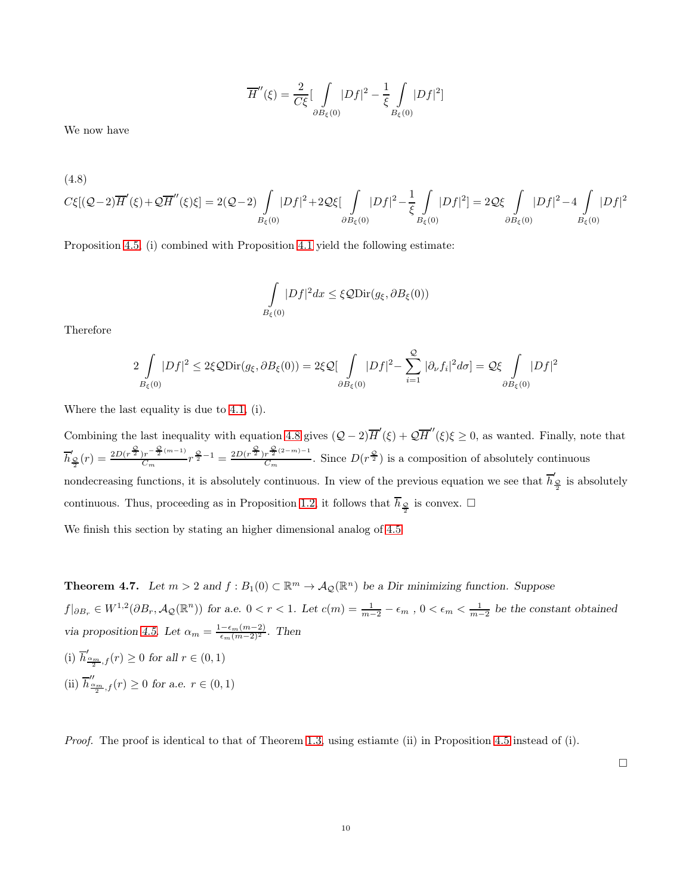$$
\overline{H}''(\xi) = \frac{2}{C\xi} \left[ \int\limits_{\partial B_{\xi}(0)} |Df|^2 - \frac{1}{\xi} \int\limits_{B_{\xi}(0)} |Df|^2 \right]
$$

We now have

<span id="page-9-0"></span>
$$
C\xi[(Q-2)\overline{H}'(\xi) + Q\overline{H}''(\xi)\xi] = 2(Q-2)\int\limits_{B_{\xi}(0)}|Df|^2 + 2\mathcal{Q}\xi\int\limits_{\partial B_{\xi}(0)}|Df|^2 - \frac{1}{\xi}\int\limits_{B_{\xi}(0)}|Df|^2] = 2\mathcal{Q}\xi\int\limits_{\partial B_{\xi}(0)}|Df|^2 - 4\int\limits_{B_{\xi}(0)}|Df|^2
$$

Proposition 4.5, (i) combined with Proposition 4.1 yield the following estimate:

$$
\int_{B_{\xi}(0)} |Df|^2 dx \leq \xi \mathcal{Q} \text{Dir}(g_{\xi}, \partial B_{\xi}(0))
$$

Therefore

$$
2\int\limits_{B_{\xi}(0)}|Df|^{2} \leq 2\xi \mathcal{Q} \text{Dir}(g_{\xi},\partial B_{\xi}(0)) = 2\xi \mathcal{Q} \left[\int\limits_{\partial B_{\xi}(0)}|Df|^{2} - \sum_{i=1}^{Q}|\partial_{\nu}f_{i}|^{2} d\sigma\right] = \mathcal{Q}\xi \int\limits_{\partial B_{\xi}(0)}|Df|^{2}
$$

Where the last equality is due to 4.1, (i).

Combining the last inequality with equation [4.8](#page-9-0) gives  $(Q-2)\overline{H}'(\xi) + Q\overline{H}''(\xi)\xi \ge 0$ , as wanted. Finally, note that  $\overline{h}'_2(r) = \frac{2D(r^{\frac{Q}{2}})r^{-\frac{Q}{2}(m-1)}}{C_m}$  $\frac{C_m}{C_m}r^{\frac{Q}{2}-1} = \frac{2D(r^{\frac{Q}{2}})r^{\frac{Q}{2}(2-m)-1}}{C_m}$  $\frac{r^{\frac{2}{2}(2-m)-1}}{C_m}$ . Since  $D(r^{\frac{Q}{2}})$  is a composition of absolutely continuous nondecreasing functions, it is absolutely continuous. In view of the previous equation we see that  $\overline{h}'_{\frac{\mathcal{Q}}{2}}$  is absolutely continuous. Thus, proceeding as in Proposition 1.2, it follows that  $\overline{h}_{\frac{\mathcal{Q}}{2}}$  is convex.  $\Box$ 

We finish this section by stating an higher dimensional analog of 4.5

**Theorem 4.7.** Let  $m > 2$  and  $f : B_1(0) \subset \mathbb{R}^m \to A_{\mathcal{Q}}(\mathbb{R}^n)$  be a Dir minimizing function. Suppose  $f|_{\partial B_r} \in W^{1,2}(\partial B_r, \mathcal{A}_{\mathcal{Q}}(\mathbb{R}^n))$  for a.e.  $0 < r < 1$ . Let  $c(m) = \frac{1}{m-2} - \epsilon_m$ ,  $0 < \epsilon_m < \frac{1}{m-2}$  be the constant obtained via proposition 4.5. Let  $\alpha_m = \frac{1-\epsilon_m(m-2)}{\epsilon_m(m-2)^2}$ . Then (i)  $\overline{h}'_{\frac{\alpha_m}{2},f}(r) \ge 0$  for all  $r \in (0,1)$ (ii)  $\overline{h}_{\frac{\alpha_m}{2},f}''(r) \ge 0$  for a.e.  $r \in (0,1)$ 

Proof. The proof is identical to that of Theorem [1.3,](#page-2-0) using estiamte (ii) in Proposition 4.5 instead of (i).

 $\Box$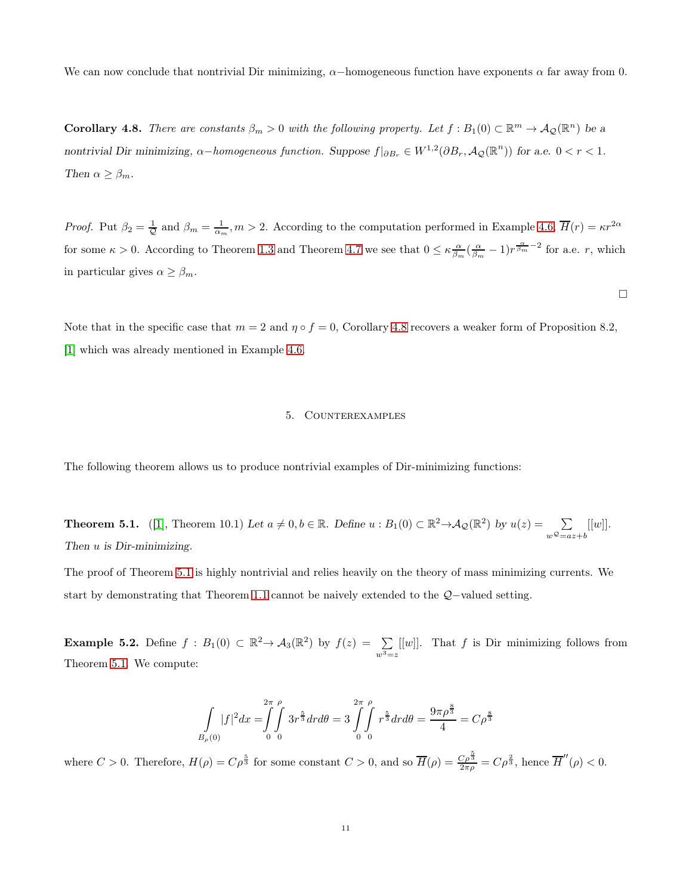We can now conclude that nontrivial Dir minimizing,  $\alpha$ -homogeneous function have exponents  $\alpha$  far away from 0.

**Corollary 4.8.** There are constants  $\beta_m > 0$  with the following property. Let  $f : B_1(0) \subset \mathbb{R}^m \to A_2(\mathbb{R}^n)$  be a nontrivial Dir minimizing,  $\alpha$ -homogeneous function. Suppose  $f|_{\partial B_r} \in W^{1,2}(\partial B_r, \mathcal{A}_{\mathcal{Q}}(\mathbb{R}^n))$  for a.e.  $0 < r < 1$ . Then  $\alpha \geq \beta_m$ .

*Proof.* Put  $\beta_2 = \frac{1}{\mathcal{Q}}$  and  $\beta_m = \frac{1}{\alpha_m}, m > 2$ . According to the computation performed in Example 4.6,  $\overline{H}(r) = \kappa r^{2\alpha}$ for some  $\kappa > 0$ . According to Theorem [1.3](#page-2-0) and Theorem 4.7 we see that  $0 \leq \kappa \frac{\alpha}{\beta_m} (\frac{\alpha}{\beta_m} - 1) r^{\frac{\alpha}{\beta_m} - 2}$  for a.e. r, which in particular gives  $\alpha \geq \beta_m$ .

 $\Box$ 

<span id="page-10-0"></span>Note that in the specific case that  $m = 2$  and  $\eta \circ f = 0$ , Corollary 4.8 recovers a weaker form of Proposition 8.2, [\[1\]](#page-14-1) which was already mentioned in Example 4.6.

## 5. Counterexamples

The following theorem allows us to produce nontrivial examples of Dir-minimizing functions:

**Theorem 5.1.** ([\[1\]](#page-14-1), Theorem 10.1) Let  $a \neq 0, b \in \mathbb{R}$ . Define  $u : B_1(0) \subset \mathbb{R}^2 \to A_{\mathcal{Q}}(\mathbb{R}^2)$  by  $u(z) = \sum_{\alpha}$  $w^{\mathcal{Q}}=az+b$  $[[w]].$ Then  $u$  is Dir-minimizing.

The proof of Theorem 5.1 is highly nontrivial and relies heavily on the theory of mass minimizing currents. We start by demonstrating that Theorem [1.1](#page-0-0) cannot be naively extended to the Q−valued setting.

**Example 5.2.** Define  $f : B_1(0) \subset \mathbb{R}^2 \to A_3(\mathbb{R}^2)$  by  $f(z) = \sum_{z}$  $w^3 = z$  $[[w]]$ . That f is Dir minimizing follows from Theorem 5.1. We compute:

$$
\int_{B_{\rho}(0)} |f|^2 dx = \int_{0}^{2\pi} \int_{0}^{\rho} 3r^{\frac{5}{3}} dr d\theta = 3 \int_{0}^{2\pi} \int_{0}^{\rho} r^{\frac{5}{3}} dr d\theta = \frac{9\pi\rho^{\frac{8}{3}}}{4} = C\rho^{\frac{8}{3}}
$$

where  $C > 0$ . Therefore,  $H(\rho) = C\rho^{\frac{5}{3}}$  for some constant  $C > 0$ , and so  $\overline{H}(\rho) = \frac{C\rho^{\frac{5}{3}}}{2\pi\rho} = C\rho^{\frac{2}{3}}$ , hence  $\overline{H}''(\rho) < 0$ .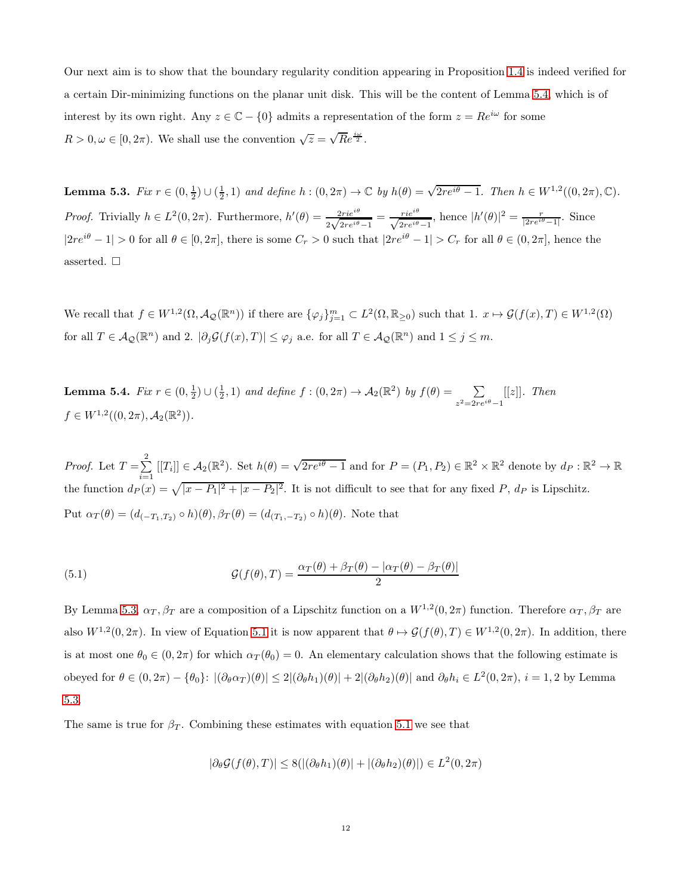Our next aim is to show that the boundary regularity condition appearing in Proposition [1.4](#page-2-1) is indeed verified for a certain Dir-minimizing functions on the planar unit disk. This will be the content of Lemma 5.4, which is of interest by its own right. Any  $z \in \mathbb{C} - \{0\}$  admits a representation of the form  $z = Re^{i\omega}$  for some  $R > 0, \omega \in [0, 2\pi)$ . We shall use the convention  $\sqrt{z} = \sqrt{R}e^{\frac{i\omega}{2}}$ .

Lemma 5.3. Fix  $r \in (0, \frac{1}{2}) \cup (\frac{1}{2}, 1)$  and define  $h : (0, 2\pi) \to \mathbb{C}$  by  $h(\theta) = \sqrt{2re^{i\theta} - 1}$ . Then  $h \in W^{1,2}((0, 2\pi), \mathbb{C})$ . *Proof.* Trivially  $h \in L^2(0, 2\pi)$ . Furthermore,  $h'(\theta) = \frac{2\pi i e^{i\theta}}{2\sqrt{2\pi e^{i\theta}-1}} = \frac{\pi i e^{i\theta}}{\sqrt{2\pi e^{i\theta}-1}}$ , hence  $|h'(\theta)|^2 = \frac{\pi}{|2\pi e^{i\theta}-1|}$ . Since  $|2re^{i\theta}-1|>0$  for all  $\theta \in [0, 2\pi]$ , there is some  $C_r > 0$  such that  $|2re^{i\theta}-1|>C_r$  for all  $\theta \in (0, 2\pi]$ , hence the asserted.  $\square$ 

We recall that  $f \in W^{1,2}(\Omega, \mathcal{A}_{\mathcal{Q}}(\mathbb{R}^n))$  if there are  $\{\varphi_j\}_{j=1}^m \subset L^2(\Omega, \mathbb{R}_{\geq 0})$  such that  $1. x \mapsto \mathcal{G}(f(x), T) \in W^{1,2}(\Omega)$ for all  $T \in \mathcal{A}_{\mathcal{Q}}(\mathbb{R}^n)$  and 2.  $|\partial_j \mathcal{G}(f(x),T)| \leq \varphi_j$  a.e. for all  $T \in \mathcal{A}_{\mathcal{Q}}(\mathbb{R}^n)$  and  $1 \leq j \leq m$ .

**Lemma 5.4.** Fix  $r \in (0, \frac{1}{2}) \cup (\frac{1}{2}, 1)$  and define  $f : (0, 2\pi) \to \mathcal{A}_2(\mathbb{R}^2)$  by  $f(\theta) = \sum_{\alpha=2}^{\infty}$  $z^2=2re^{i\theta}-1$  $[[z]]$ . Then  $f \in W^{1,2}((0, 2\pi), \mathcal{A}_2(\mathbb{R}^2)).$ 

*Proof.* Let  $T = \sum^2$  $\sum_{i=1}^{2} [[T_i]] \in \mathcal{A}_2(\mathbb{R}^2)$ . Set  $h(\theta) = \sqrt{2re^{i\theta} - 1}$  and for  $P = (P_1, P_2) \in \mathbb{R}^2 \times \mathbb{R}^2$  denote by  $d_P : \mathbb{R}^2 \to \mathbb{R}$ the function  $d_P(x) = \sqrt{|x - P_1|^2 + |x - P_2|^2}$ . It is not difficult to see that for any fixed P,  $d_P$  is Lipschitz. Put  $\alpha_T(\theta) = (d_{(-T_1,T_2)} \circ h)(\theta), \beta_T(\theta) = (d_{(T_1,-T_2)} \circ h)(\theta)$ . Note that

<span id="page-11-0"></span>(5.1) 
$$
\mathcal{G}(f(\theta),T) = \frac{\alpha_T(\theta) + \beta_T(\theta) - |\alpha_T(\theta) - \beta_T(\theta)|}{2}
$$

By Lemma 5.3,  $\alpha_T, \beta_T$  are a composition of a Lipschitz function on a  $W^{1,2}(0, 2\pi)$  function. Therefore  $\alpha_T, \beta_T$  are also  $W^{1,2}(0, 2\pi)$ . In view of Equation [5.1](#page-11-0) it is now apparent that  $\theta \mapsto \mathcal{G}(f(\theta), T) \in W^{1,2}(0, 2\pi)$ . In addition, there is at most one  $\theta_0 \in (0, 2\pi)$  for which  $\alpha_T(\theta_0) = 0$ . An elementary calculation shows that the following estimate is obeyed for  $\theta \in (0, 2\pi) - \{\theta_0\}$ :  $|(\partial_\theta \alpha_T)(\theta)| \leq 2|(\partial_\theta h_1)(\theta)| + 2|(\partial_\theta h_2)(\theta)|$  and  $\partial_\theta h_i \in L^2(0, 2\pi)$ ,  $i = 1, 2$  by Lemma 5.3.

The same is true for  $\beta_T$ . Combining these estimates with equation [5.1](#page-11-0) we see that

$$
|\partial_{\theta} \mathcal{G}(f(\theta),T)| \leq 8(|(\partial_{\theta} h_1)(\theta)| + |(\partial_{\theta} h_2)(\theta)|) \in L^2(0, 2\pi)
$$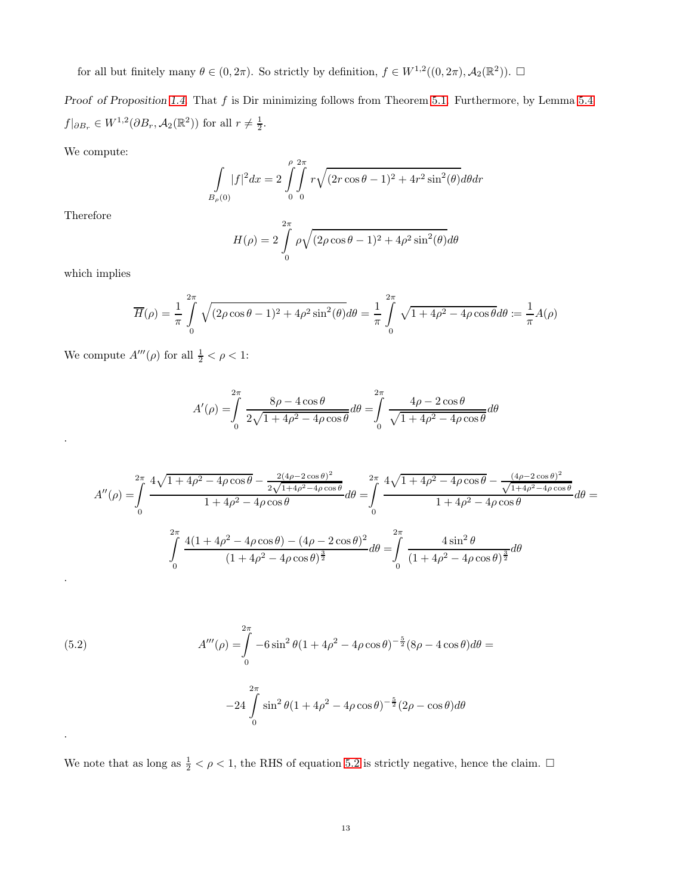for all but finitely many  $\theta \in (0, 2\pi)$ . So strictly by definition,  $f \in W^{1,2}((0, 2\pi), \mathcal{A}_2(\mathbb{R}^2))$ .  $\Box$ 

Proof of Proposition [1.4.](#page-2-1) That  $f$  is Dir minimizing follows from Theorem 5.1. Furthermore, by Lemma 5.4  $f|_{\partial B_r} \in W^{1,2}(\partial B_r, A_2(\mathbb{R}^2))$  for all  $r \neq \frac{1}{2}$ .

We compute:

$$
\int_{B_{\rho}(0)} |f|^2 dx = 2 \int_{0}^{\rho} \int_{0}^{2\pi} r \sqrt{(2r \cos \theta - 1)^2 + 4r^2 \sin^2(\theta)} d\theta dr
$$

Therefore

$$
H(\rho) = 2 \int_{0}^{2\pi} \rho \sqrt{(2\rho \cos \theta - 1)^2 + 4\rho^2 \sin^2(\theta)} d\theta
$$

which implies

.

.

.

$$
\overline{H}(\rho) = \frac{1}{\pi} \int_{0}^{2\pi} \sqrt{(2\rho\cos\theta - 1)^2 + 4\rho^2 \sin^2(\theta)} d\theta = \frac{1}{\pi} \int_{0}^{2\pi} \sqrt{1 + 4\rho^2 - 4\rho \cos\theta} d\theta = \frac{1}{\pi} A(\rho)
$$

We compute  $A'''(\rho)$  for all  $\frac{1}{2} < \rho < 1$ :

$$
A'(\rho) = \int_0^{2\pi} \frac{8\rho - 4\cos\theta}{2\sqrt{1 + 4\rho^2 - 4\rho\cos\theta}} d\theta = \int_0^{2\pi} \frac{4\rho - 2\cos\theta}{\sqrt{1 + 4\rho^2 - 4\rho\cos\theta}} d\theta
$$

$$
A''(\rho) = \int_{0}^{2\pi} \frac{4\sqrt{1+4\rho^2 - 4\rho\cos\theta} - \frac{2(4\rho - 2\cos\theta)^2}{2\sqrt{1+4\rho^2 - 4\rho\cos\theta}}}{1+4\rho^2 - 4\rho\cos\theta} d\theta = \int_{0}^{2\pi} \frac{4\sqrt{1+4\rho^2 - 4\rho\cos\theta} - \frac{(4\rho - 2\cos\theta)^2}{\sqrt{1+4\rho^2 - 4\rho\cos\theta}}}{1+4\rho^2 - 4\rho\cos\theta} d\theta = \int_{0}^{2\pi} \frac{4(1+4\rho^2 - 4\rho\cos\theta) - (4\rho - 2\cos\theta)^2}{(1+4\rho^2 - 4\rho\cos\theta)^{\frac{3}{2}}} d\theta = \int_{0}^{2\pi} \frac{4\sin^2\theta}{(1+4\rho^2 - 4\rho\cos\theta)^{\frac{3}{2}}} d\theta
$$

<span id="page-12-0"></span>(5.2) 
$$
A'''(\rho) = \int_{0}^{2\pi} -6\sin^2\theta (1 + 4\rho^2 - 4\rho\cos\theta)^{-\frac{5}{2}} (8\rho - 4\cos\theta) d\theta =
$$

$$
-24 \int_{0}^{2\pi} \sin^2\theta (1 + 4\rho^2 - 4\rho\cos\theta)^{-\frac{5}{2}} (2\rho - \cos\theta) d\theta
$$

We note that as long as  $\frac{1}{2} < \rho < 1$ , the RHS of equation [5.2](#page-12-0) is strictly negative, hence the claim.  $\Box$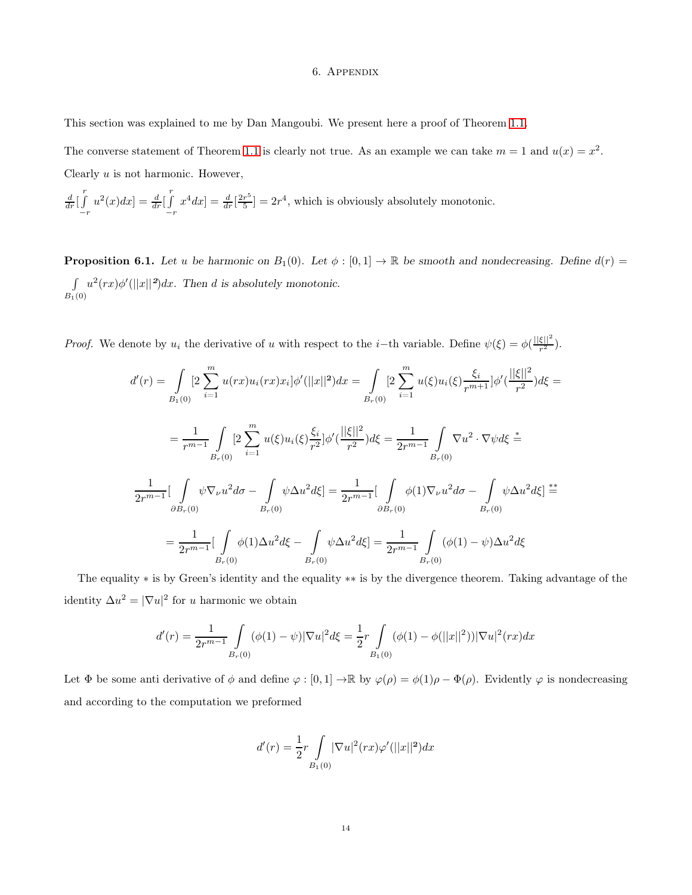### 6. Appendix

This section was explained to me by Dan Mangoubi. We present here a proof of Theorem [1.1.](#page-0-0)

The converse statement of Theorem [1.1](#page-0-0) is clearly not true. As an example we can take  $m = 1$  and  $u(x) = x^2$ . Clearly  $u$  is not harmonic. However,

$$
\frac{d}{dr}\left[\int\limits_{-r}^{r}u^{2}(x)dx\right]=\frac{d}{dr}\left[\int\limits_{-r}^{r}x^{4}dx\right]=\frac{d}{dr}\left[\frac{2r^{5}}{5}\right]=2r^{4},
$$
 which is obviously absolutely monotonic.

<span id="page-13-0"></span>**Proposition 6.1.** Let u be harmonic on  $B_1(0)$ . Let  $\phi : [0,1] \to \mathbb{R}$  be smooth and nondecreasing. Define  $d(r)$ R  $B_1(0)$  $u^2(rx)\phi'(||x||^2)dx$ . Then d is absolutely monotonic.

*Proof.* We denote by  $u_i$  the derivative of u with respect to the i–th variable. Define  $\psi(\xi) = \phi(\frac{||\xi||^2}{r^2})$  $rac{\zeta+1}{r^2}$ .

$$
d'(r) = \int_{B_1(0)} 2 \sum_{i=1}^m u(rx) u_i(rx) x_i] \phi'(||x||^2) dx = \int_{B_r(0)} 2 \sum_{i=1}^m u(\xi) u_i(\xi) \frac{\xi_i}{r^{m+1}} \phi'(\frac{||\xi||^2}{r^2}) d\xi =
$$
  

$$
= \frac{1}{r^{m-1}} \int_{B_r(0)} 2 \sum_{i=1}^m u(\xi) u_i(\xi) \frac{\xi_i}{r^2} \phi'(\frac{||\xi||^2}{r^2}) d\xi = \frac{1}{2r^{m-1}} \int_{B_r(0)} \nabla u^2 \cdot \nabla \psi d\xi =
$$
  

$$
\frac{1}{2r^{m-1}} \Big[ \int_{\partial B_r(0)} \psi \nabla_\nu u^2 d\sigma - \int_{B_r(0)} \psi \Delta u^2 d\xi \Big] = \frac{1}{2r^{m-1}} \Big[ \int_{\partial B_r(0)} \phi(1) \nabla_\nu u^2 d\sigma - \int_{B_r(0)} \psi \Delta u^2 d\xi \Big] =
$$
  

$$
= \frac{1}{2r^{m-1}} \Big[ \int_{B_r(0)} \phi(1) \Delta u^2 d\xi - \int_{B_r(0)} \psi \Delta u^2 d\xi \Big] = \frac{1}{2r^{m-1}} \int_{B_r(0)} (\phi(1) - \psi) \Delta u^2 d\xi
$$

The equality ∗ is by Green's identity and the equality ∗∗ is by the divergence theorem. Taking advantage of the identity  $\Delta u^2 = |\nabla u|^2$  for u harmonic we obtain

$$
d'(r) = \frac{1}{2r^{m-1}} \int_{B_r(0)} (\phi(1) - \psi) |\nabla u|^2 d\xi = \frac{1}{2} r \int_{B_1(0)} (\phi(1) - \phi(||x||^2)) |\nabla u|^2 (rx) dx
$$

Let  $\Phi$  be some anti derivative of  $\phi$  and define  $\varphi : [0,1] \to \mathbb{R}$  by  $\varphi(\rho) = \phi(1)\rho - \Phi(\rho)$ . Evidently  $\varphi$  is nondecreasing and according to the computation we preformed

$$
d'(r) = \frac{1}{2}r \int_{B_1(0)} |\nabla u|^2(rx)\varphi'(||x||^2)dx
$$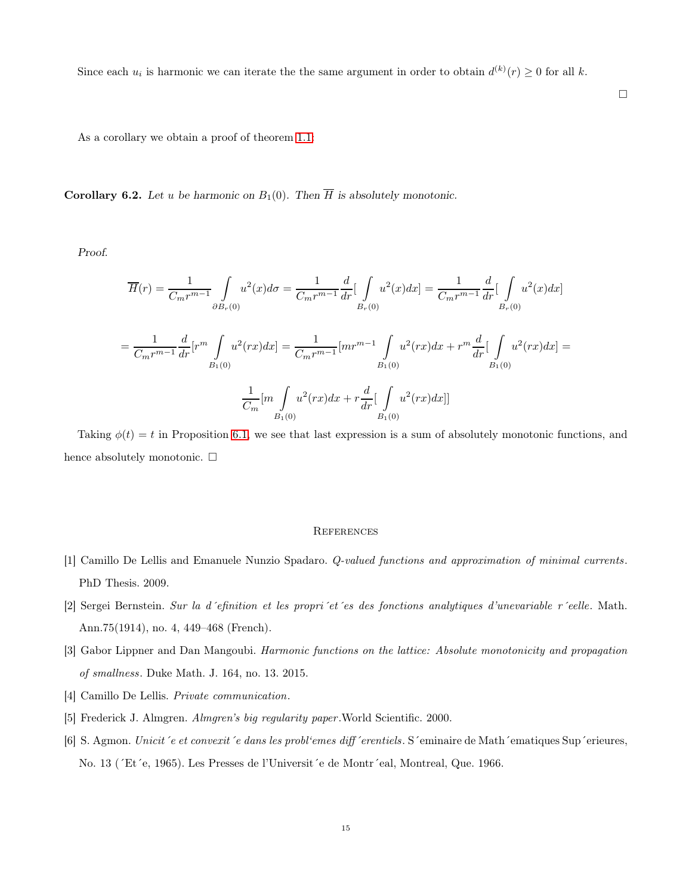Since each  $u_i$  is harmonic we can iterate the the same argument in order to obtain  $d^{(k)}(r) \geq 0$  for all k.

**Corollary 6.2.** Let u be harmonic on  $B_1(0)$ . Then  $\overline{H}$  is absolutely monotonic.

As a corollary we obtain a proof of theorem [1.1:](#page-0-0)

Proof.

$$
\overline{H}(r) = \frac{1}{C_m r^{m-1}} \int_{\partial B_r(0)} u^2(x) d\sigma = \frac{1}{C_m r^{m-1}} \frac{d}{dr} \Big[ \int_{B_r(0)} u^2(x) dx \Big] = \frac{1}{C_m r^{m-1}} \frac{d}{dr} \Big[ \int_{B_r(0)} u^2(x) dx \Big]
$$

$$
= \frac{1}{C_m r^{m-1}} \frac{d}{dr} \Big[ r^m \int_{B_1(0)} u^2(rx) dx \Big] = \frac{1}{C_m r^{m-1}} \Big[ m r^{m-1} \int_{B_1(0)} u^2(rx) dx + r^m \frac{d}{dr} \Big[ \int_{B_1(0)} u^2(rx) dx \Big] = \frac{1}{C_m} \Big[ m \int_{B_1(0)} u^2(rx) dx + r \frac{d}{dr} \Big[ \int_{B_1(0)} u^2(rx) dx \Big]
$$

Taking  $\phi(t) = t$  in Proposition [6.1,](#page-13-0) we see that last expression is a sum of absolutely monotonic functions, and hence absolutely monotonic.  $\square$ 

### **REFERENCES**

- <span id="page-14-1"></span>[1] Camillo De Lellis and Emanuele Nunzio Spadaro. Q-valued functions and approximation of minimal currents. PhD Thesis. 2009.
- <span id="page-14-4"></span>[2] Sergei Bernstein. Sur la d´efinition et les propri´et´es des fonctions analytiques d'unevariable r´eelle. Math. Ann.75(1914), no. 4, 449–468 (French).
- <span id="page-14-3"></span>[3] Gabor Lippner and Dan Mangoubi. Harmonic functions on the lattice: Absolute monotonicity and propagation of smallness. Duke Math. J. 164, no. 13. 2015.
- <span id="page-14-5"></span>[4] Camillo De Lellis. Private communication.
- <span id="page-14-0"></span>[5] Frederick J. Almgren. Almgren's big regularity paper.World Scientific. 2000.
- <span id="page-14-2"></span>[6] S. Agmon. Unicit´e et convexit´e dans les probl'emes diff´erentiels. S´eminaire de Math´ematiques Sup´erieures, No. 13 (´Et´e, 1965). Les Presses de l'Universit´e de Montr´eal, Montreal, Que. 1966.

 $\Box$